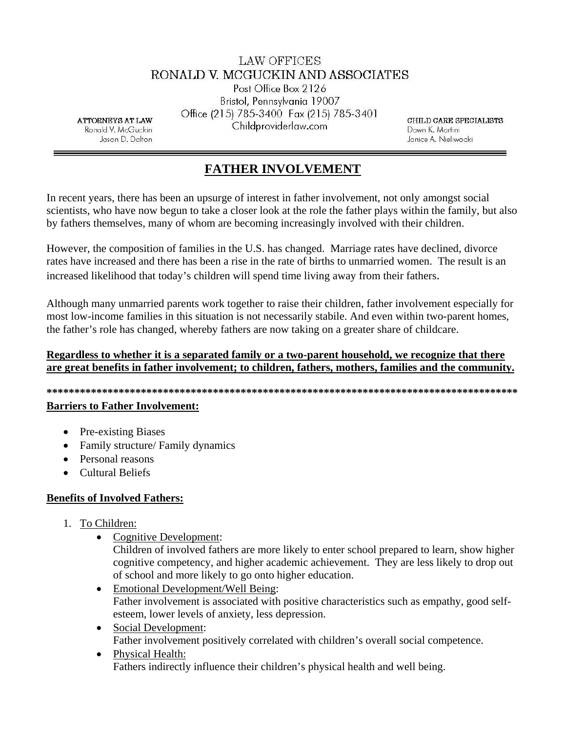## LAW OFFICES RONALD V. MCGUCKIN AND ASSOCIATES

Post Office Box 2126 Bristol, Pennsylvania 19007 Office (215) 785-3400 Fax (215) 785-3401 Childproviderlaw.com

**ATTORNEYS AT LAW** Ronald V. McGuckin Jason D. Dalton

CHILD CARE SPECIALISTS Dawn K. Martini Janice A. Nieliwocki

# **FATHER INVOLVEMENT**

In recent years, there has been an upsurge of interest in father involvement, not only amongst social scientists, who have now begun to take a closer look at the role the father plays within the family, but also by fathers themselves, many of whom are becoming increasingly involved with their children.

However, the composition of families in the U.S. has changed. Marriage rates have declined, divorce rates have increased and there has been a rise in the rate of births to unmarried women. The result is an increased likelihood that today's children will spend time living away from their fathers.

Although many unmarried parents work together to raise their children, father involvement especially for most low-income families in this situation is not necessarily stabile. And even within two-parent homes, the father's role has changed, whereby fathers are now taking on a greater share of childcare.

### Regardless to whether it is a separated family or a two-parent household, we recognize that there are great benefits in father involvement; to children, fathers, mothers, families and the community.

#### 

#### **Barriers to Father Involvement:**

- Pre-existing Biases
- Family structure/ Family dynamics
- Personal reasons
- Cultural Beliefs

## **Benefits of Involved Fathers:**

- 1. To Children:
	- **Cognitive Development:**

Children of involved fathers are more likely to enter school prepared to learn, show higher cognitive competency, and higher academic achievement. They are less likely to drop out of school and more likely to go onto higher education.

- Emotional Development/Well Being: Father involvement is associated with positive characteristics such as empathy, good selfesteem, lower levels of anxiety, less depression.
- Social Development: Father involvement positively correlated with children's overall social competence.
- $\bullet$ Physical Health: Fathers indirectly influence their children's physical health and well being.